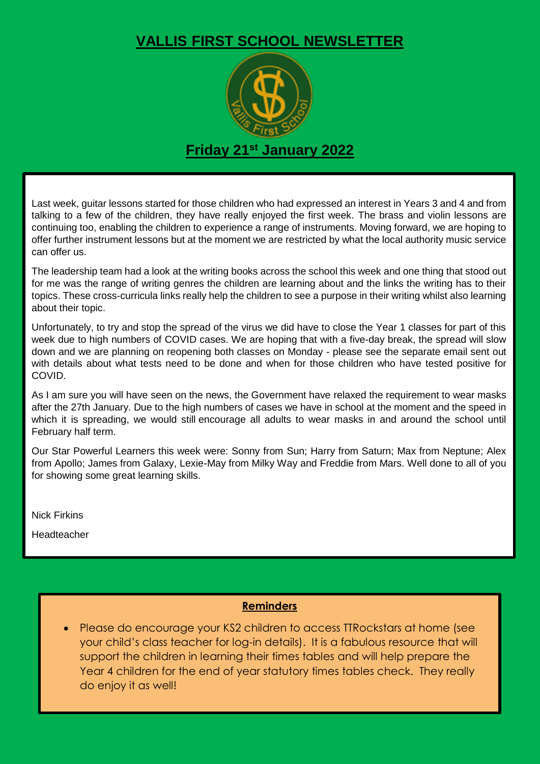## **VALLIS FIRST SCHOOL NEWSLETTER**



Last week, guitar lessons started for those children who had expressed an interest in Years 3 and 4 and from talking to a few of the children, they have really enjoyed the first week. The brass and violin lessons are continuing too, enabling the children to experience a range of instruments. Moving forward, we are hoping to offer further instrument lessons but at the moment we are restricted by what the local authority music service can offer us.

The leadership team had a look at the writing books across the school this week and one thing that stood out for me was the range of writing genres the children are learning about and the links the writing has to their topics. These cross-curricula links really help the children to see a purpose in their writing whilst also learning about their topic.

Unfortunately, to try and stop the spread of the virus we did have to close the Year 1 classes for part of this week due to high numbers of COVID cases. We are hoping that with a five-day break, the spread will slow down and we are planning on reopening both classes on Monday - please see the separate email sent out with details about what tests need to be done and when for those children who have tested positive for COVID.

As I am sure you will have seen on the news, the Government have relaxed the requirement to wear masks after the 27th January. Due to the high numbers of cases we have in school at the moment and the speed in which it is spreading, we would still encourage all adults to wear masks in and around the school until February half term.

Our Star Powerful Learners this week were: Sonny from Sun; Harry from Saturn; Max from Neptune; Alex from Apollo; James from Galaxy, Lexie-May from Milky Way and Freddie from Mars. Well done to all of you for showing some great learning skills.

Nick Firkins

Headteacher

## **Reminders**

 Please do encourage your KS2 children to access TTRockstars at home (see your child's class teacher for log-in details). It is a fabulous resource that will support the children in learning their times tables and will help prepare the Year 4 children for the end of year statutory times tables check. They really do enjoy it as well!